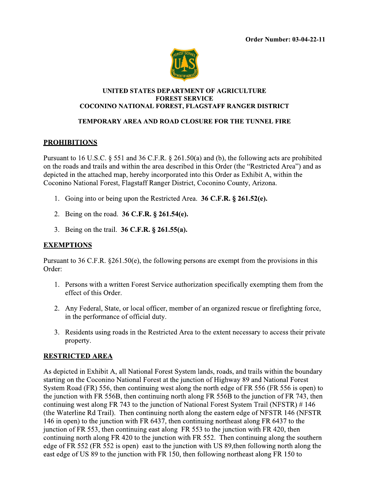

#### UNITED STATES DEPARTMENT OF AGRICULTURE **FOREST SERVICE** COCONINO NATIONAL FOREST, FLAGSTAFF RANGER DISTRICT

## **TEMPORARY AREA AND ROAD CLOSURE FOR THE TUNNEL FIRE**

## **PROHIBITIONS**

Pursuant to 16 U.S.C. § 551 and 36 C.F.R. § 261.50(a) and (b), the following acts are prohibited on the roads and trails and within the area described in this Order (the "Restricted Area") and as depicted in the attached map, hereby incorporated into this Order as Exhibit A, within the Coconino National Forest, Flagstaff Ranger District, Coconino County, Arizona.

- 1. Going into or being upon the Restricted Area. 36 C.F.R. § 261.52(e).
- 2. Being on the road. 36 C.F.R. § 261.54(e).
- 3. Being on the trail. **36 C.F.R.** § 261.55(a).

### **EXEMPTIONS**

Pursuant to 36 C.F.R.  $\S 261.50(e)$ , the following persons are exempt from the provisions in this Order:

- 1. Persons with a written Forest Service authorization specifically exempting them from the effect of this Order.
- 2. Any Federal, State, or local officer, member of an organized rescue or firefighting force, in the performance of official duty.
- 3. Residents using roads in the Restricted Area to the extent necessary to access their private property.

### **RESTRICTED AREA**

As depicted in Exhibit A, all National Forest System lands, roads, and trails within the boundary starting on the Coconino National Forest at the junction of Highway 89 and National Forest System Road (FR) 556, then continuing west along the north edge of FR 556 (FR 556 is open) to the junction with FR 556B, then continuing north along FR 556B to the junction of FR 743, then continuing west along FR 743 to the junction of National Forest System Trail (NFSTR) #146 (the Waterline Rd Trail). Then continuing north along the eastern edge of NFSTR 146 (NFSTR) 146 in open) to the junction with FR 6437, then continuing northeast along FR 6437 to the junction of FR 553, then continuing east along FR 553 to the junction with FR 420, then continuing north along FR 420 to the junction with FR 552. Then continuing along the southern edge of FR 552 (FR 552 is open) east to the junction with US 89, then following north along the east edge of US 89 to the junction with FR 150, then following northeast along FR 150 to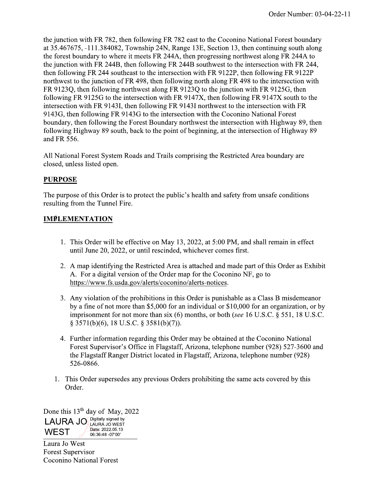the junction with FR 782, then following FR 782 east to the Coconino National Forest boundary at 35.467675, -111.384082, Township 24N, Range 13E, Section 13, then continuing south along the forest boundary to where it meets FR 244A, then progressing northwest along FR 244A to the junction with FR 244B, then following FR 244B southwest to the intersection with FR 244, then following FR 244 southeast to the intersection with FR 9122P, then following FR 9122P northwest to the junction of FR 498, then following north along FR 498 to the intersection with FR 9123Q, then following northwest along FR 9123Q to the junction with FR 9125G, then following FR 9125G to the intersection with FR 9147X, then following FR 9147X south to the intersection with FR 9143I, then following FR 9143I northwest to the intersection with FR 9143G, then following FR 9143G to the intersection with the Coconino National Forest boundary, then following the Forest Boundary northwest the intersection with Highway 89, then following Highway 89 south, back to the point of beginning, at the intersection of Highway 89 and FR 556.

All National Forest System Roads and Trails comprising the Restricted Area boundary are closed, unless listed open.

## **PURPOSE**

The purpose of this Order is to protect the public's health and safety from unsafe conditions resulting from the Tunnel Fire.

## **IMPLEMENTATION**

- 1. This Order will be effective on May 13, 2022, at 5:00 PM, and shall remain in effect until June 20, 2022, or until rescinded, whichever comes first.
- 2. A map identifying the Restricted Area is attached and made part of this Order as Exhibit A. For a digital version of the Order map for the Coconino NF, go to https://www.fs.usda.gov/alerts/coconino/alerts-notices.
- 3. Any violation of the prohibitions in this Order is punishable as a Class B misdemeanor by a fine of not more than \$5,000 for an individual or \$10,000 for an organization, or by imprisonment for not more than six  $(6)$  months, or both (see 16 U.S.C. § 551, 18 U.S.C. § 3571(b)(6), 18 U.S.C. § 3581(b)(7)).
- 4. Further information regarding this Order may be obtained at the Coconino National Forest Supervisor's Office in Flagstaff, Arizona, telephone number (928) 527-3600 and the Flagstaff Ranger District located in Flagstaff, Arizona, telephone number (928) 526-0866.
- 1. This Order supersedes any previous Orders prohibiting the same acts covered by this Order.

Done this  $13<sup>th</sup>$  day of May, 2022 **LAURA JO Digitally signed by** Date: 2022.05.13 **WEST** 06:36:48 -07'00'

Laura Jo West **Forest Supervisor Coconino National Forest**